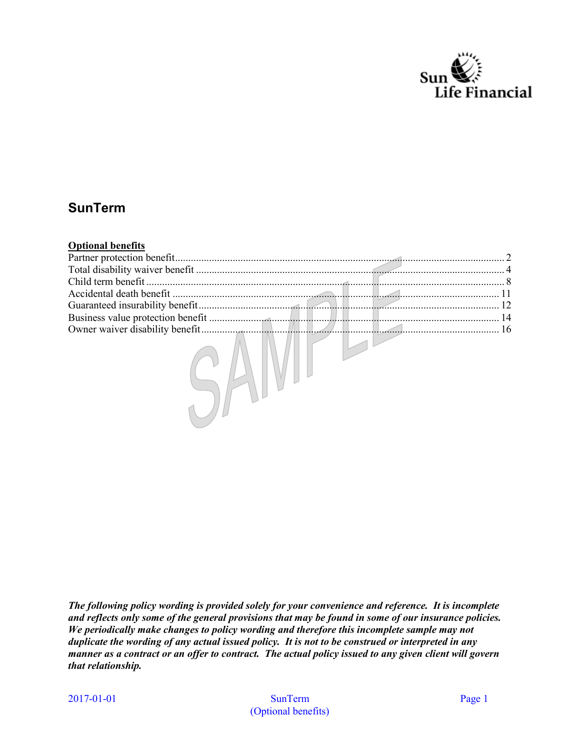

# **SunTerm**

| <b>Optional benefits</b> |  |           |
|--------------------------|--|-----------|
|                          |  |           |
|                          |  |           |
|                          |  |           |
|                          |  |           |
|                          |  | $\sim$ 12 |
|                          |  |           |
|                          |  |           |
|                          |  |           |

*The following policy wording is provided solely for your convenience and reference. It is incomplete and reflects only some of the general provisions that may be found in some of our insurance policies. We periodically make changes to policy wording and therefore this incomplete sample may not duplicate the wording of any actual issued policy. It is not to be construed or interpreted in any manner as a contract or an offer to contract. The actual policy issued to any given client will govern that relationship.*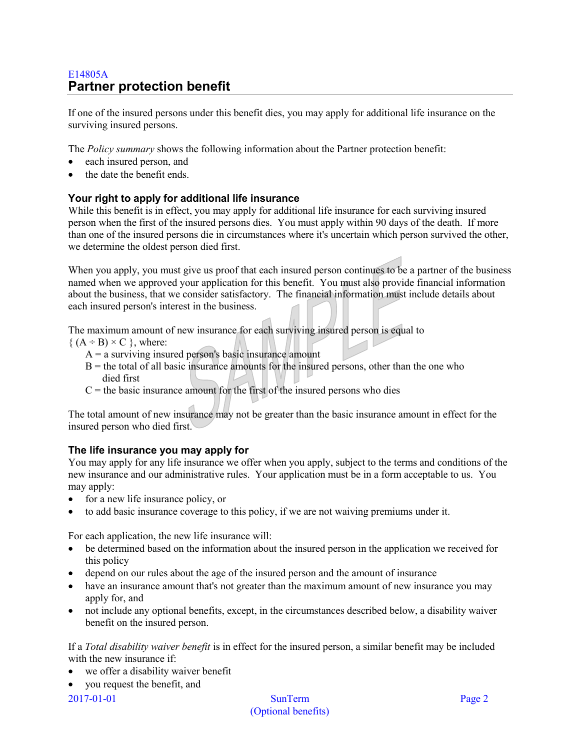# <span id="page-1-0"></span>E14805A **Partner protection benefit**

If one of the insured persons under this benefit dies, you may apply for additional life insurance on the surviving insured persons.

The *Policy summary* shows the following information about the Partner protection benefit:

- each insured person, and
- the date the benefit ends.

# **Your right to apply for additional life insurance**

While this benefit is in effect, you may apply for additional life insurance for each surviving insured person when the first of the insured persons dies. You must apply within 90 days of the death. If more than one of the insured persons die in circumstances where it's uncertain which person survived the other, we determine the oldest person died first.

When you apply, you must give us proof that each insured person continues to be a partner of the business named when we approved your application for this benefit. You must also provide financial information about the business, that we consider satisfactory. The financial information must include details about each insured person's interest in the business.

The maximum amount of new insurance for each surviving insured person is equal to

 ${ (A \div B) \times C }$ , where:

- $A = a$  surviving insured person's basic insurance amount
- $B =$  the total of all basic insurance amounts for the insured persons, other than the one who died first
- $C$  = the basic insurance amount for the first of the insured persons who dies

The total amount of new insurance may not be greater than the basic insurance amount in effect for the insured person who died first.

# **The life insurance you may apply for**

You may apply for any life insurance we offer when you apply, subject to the terms and conditions of the new insurance and our administrative rules. Your application must be in a form acceptable to us. You may apply:

- for a new life insurance policy, or
- to add basic insurance coverage to this policy, if we are not waiving premiums under it.

For each application, the new life insurance will:

- be determined based on the information about the insured person in the application we received for this policy
- depend on our rules about the age of the insured person and the amount of insurance
- have an insurance amount that's not greater than the maximum amount of new insurance you may apply for, and
- not include any optional benefits, except, in the circumstances described below, a disability waiver benefit on the insured person.

If a *Total disability waiver benefit* is in effect for the insured person, a similar benefit may be included with the new insurance if:

- we offer a disability waiver benefit
- you request the benefit, and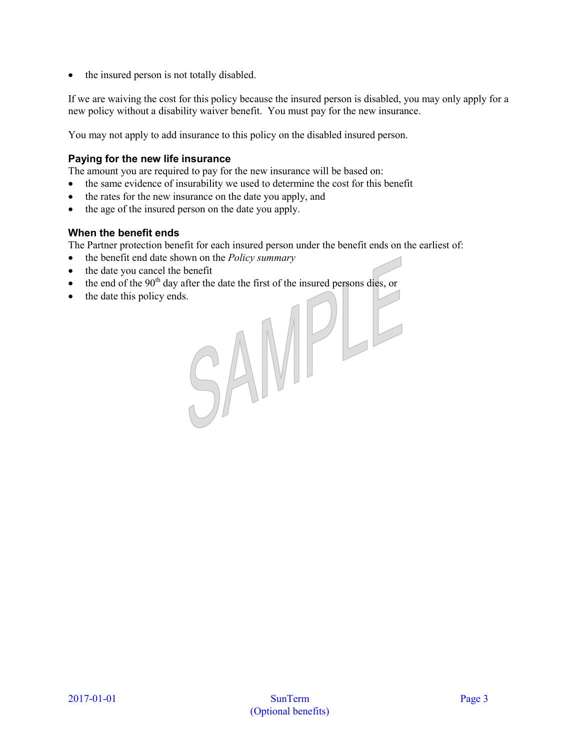• the insured person is not totally disabled.

If we are waiving the cost for this policy because the insured person is disabled, you may only apply for a new policy without a disability waiver benefit. You must pay for the new insurance.

You may not apply to add insurance to this policy on the disabled insured person.

#### **Paying for the new life insurance**

The amount you are required to pay for the new insurance will be based on:

- the same evidence of insurability we used to determine the cost for this benefit
- the rates for the new insurance on the date you apply, and
- the age of the insured person on the date you apply.

#### **When the benefit ends**

The Partner protection benefit for each insured person under the benefit ends on the earliest of:

- the benefit end date shown on the *Policy summary*
- the date you cancel the benefit
- the end of the 90<sup>th</sup> day after the date the first of the insured persons dies, or<br>
the date this policy ends.
- the date this policy ends.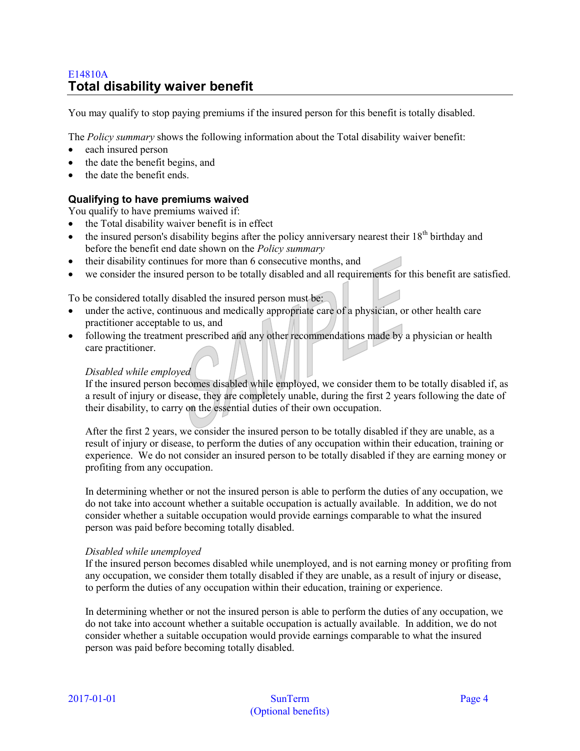# <span id="page-3-0"></span>E14810A **Total disability waiver benefit**

You may qualify to stop paying premiums if the insured person for this benefit is totally disabled.

The *Policy summary* shows the following information about the Total disability waiver benefit:

- each insured person
- the date the benefit begins, and
- the date the benefit ends

# **Qualifying to have premiums waived**

You qualify to have premiums waived if:

- the Total disability waiver benefit is in effect
- the insured person's disability begins after the policy anniversary nearest their  $18<sup>th</sup>$  birthday and before the benefit end date shown on the *Policy summary*
- their disability continues for more than 6 consecutive months, and
- we consider the insured person to be totally disabled and all requirements for this benefit are satisfied.

To be considered totally disabled the insured person must be:

- under the active, continuous and medically appropriate care of a physician, or other health care practitioner acceptable to us, and
- following the treatment prescribed and any other recommendations made by a physician or health care practitioner.

## *Disabled while employed*

If the insured person becomes disabled while employed, we consider them to be totally disabled if, as a result of injury or disease, they are completely unable, during the first 2 years following the date of their disability, to carry on the essential duties of their own occupation.

After the first 2 years, we consider the insured person to be totally disabled if they are unable, as a result of injury or disease, to perform the duties of any occupation within their education, training or experience. We do not consider an insured person to be totally disabled if they are earning money or profiting from any occupation.

In determining whether or not the insured person is able to perform the duties of any occupation, we do not take into account whether a suitable occupation is actually available. In addition, we do not consider whether a suitable occupation would provide earnings comparable to what the insured person was paid before becoming totally disabled.

#### *Disabled while unemployed*

If the insured person becomes disabled while unemployed, and is not earning money or profiting from any occupation, we consider them totally disabled if they are unable, as a result of injury or disease, to perform the duties of any occupation within their education, training or experience.

In determining whether or not the insured person is able to perform the duties of any occupation, we do not take into account whether a suitable occupation is actually available. In addition, we do not consider whether a suitable occupation would provide earnings comparable to what the insured person was paid before becoming totally disabled.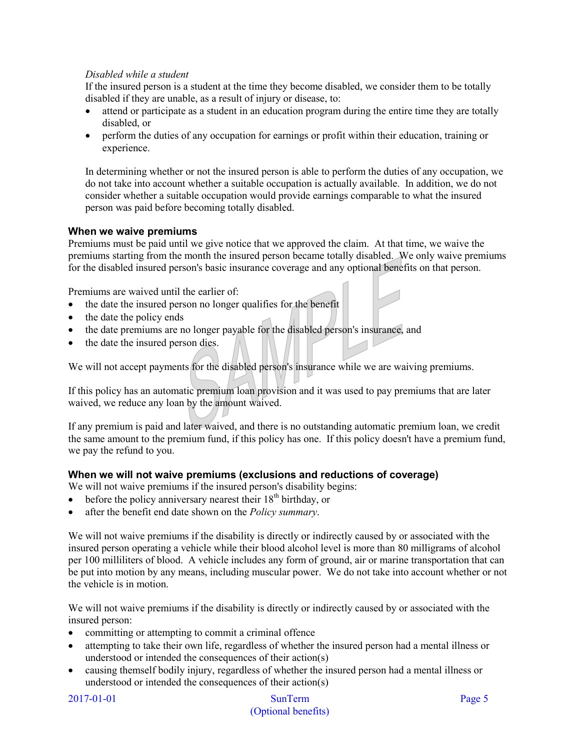# *Disabled while a student*

If the insured person is a student at the time they become disabled, we consider them to be totally disabled if they are unable, as a result of injury or disease, to:

- attend or participate as a student in an education program during the entire time they are totally disabled, or
- perform the duties of any occupation for earnings or profit within their education, training or experience.

In determining whether or not the insured person is able to perform the duties of any occupation, we do not take into account whether a suitable occupation is actually available. In addition, we do not consider whether a suitable occupation would provide earnings comparable to what the insured person was paid before becoming totally disabled.

# **When we waive premiums**

Premiums must be paid until we give notice that we approved the claim. At that time, we waive the premiums starting from the month the insured person became totally disabled. We only waive premiums for the disabled insured person's basic insurance coverage and any optional benefits on that person.

Premiums are waived until the earlier of:

- the date the insured person no longer qualifies for the benefit
- the date the policy ends
- the date premiums are no longer payable for the disabled person's insurance, and
- the date the insured person dies.

We will not accept payments for the disabled person's insurance while we are waiving premiums.

If this policy has an automatic premium loan provision and it was used to pay premiums that are later waived, we reduce any loan by the amount waived.

If any premium is paid and later waived, and there is no outstanding automatic premium loan, we credit the same amount to the premium fund, if this policy has one. If this policy doesn't have a premium fund, we pay the refund to you.

#### **When we will not waive premiums (exclusions and reductions of coverage)**

We will not waive premiums if the insured person's disability begins:

- before the policy anniversary nearest their  $18<sup>th</sup>$  birthday, or
- after the benefit end date shown on the *Policy summary*.

We will not waive premiums if the disability is directly or indirectly caused by or associated with the insured person operating a vehicle while their blood alcohol level is more than 80 milligrams of alcohol per 100 milliliters of blood. A vehicle includes any form of ground, air or marine transportation that can be put into motion by any means, including muscular power. We do not take into account whether or not the vehicle is in motion.

We will not waive premiums if the disability is directly or indirectly caused by or associated with the insured person:

- committing or attempting to commit a criminal offence
- attempting to take their own life, regardless of whether the insured person had a mental illness or understood or intended the consequences of their action(s)
- causing themself bodily injury, regardless of whether the insured person had a mental illness or understood or intended the consequences of their action(s)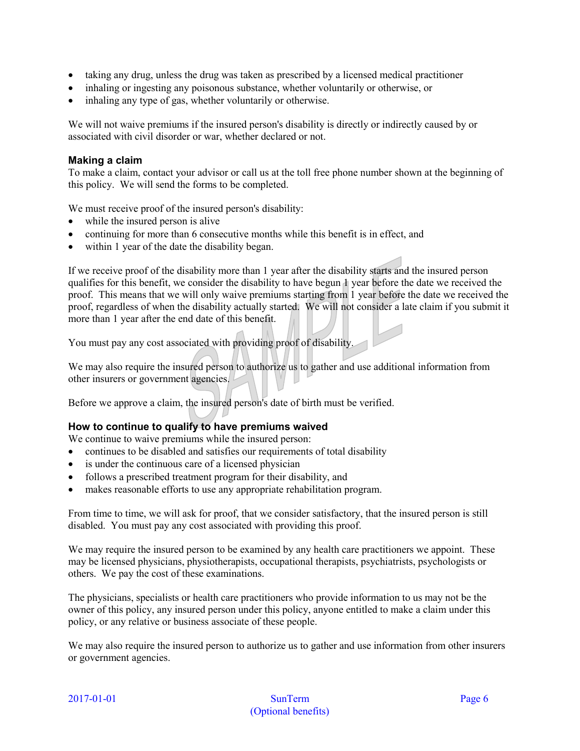- taking any drug, unless the drug was taken as prescribed by a licensed medical practitioner
- inhaling or ingesting any poisonous substance, whether voluntarily or otherwise, or
- inhaling any type of gas, whether voluntarily or otherwise.

We will not waive premiums if the insured person's disability is directly or indirectly caused by or associated with civil disorder or war, whether declared or not.

#### **Making a claim**

To make a claim, contact your advisor or call us at the toll free phone number shown at the beginning of this policy. We will send the forms to be completed.

We must receive proof of the insured person's disability:

- while the insured person is alive
- continuing for more than 6 consecutive months while this benefit is in effect, and
- within 1 year of the date the disability began.

If we receive proof of the disability more than 1 year after the disability starts and the insured person qualifies for this benefit, we consider the disability to have begun 1 year before the date we received the proof. This means that we will only waive premiums starting from 1 year before the date we received the proof, regardless of when the disability actually started. We will not consider a late claim if you submit it more than 1 year after the end date of this benefit.

You must pay any cost associated with providing proof of disability.

We may also require the insured person to authorize us to gather and use additional information from other insurers or government agencies.

Before we approve a claim, the insured person's date of birth must be verified.

#### **How to continue to qualify to have premiums waived**

We continue to waive premiums while the insured person:

- continues to be disabled and satisfies our requirements of total disability
- is under the continuous care of a licensed physician
- follows a prescribed treatment program for their disability, and
- makes reasonable efforts to use any appropriate rehabilitation program.

From time to time, we will ask for proof, that we consider satisfactory, that the insured person is still disabled. You must pay any cost associated with providing this proof.

We may require the insured person to be examined by any health care practitioners we appoint. These may be licensed physicians, physiotherapists, occupational therapists, psychiatrists, psychologists or others. We pay the cost of these examinations.

The physicians, specialists or health care practitioners who provide information to us may not be the owner of this policy, any insured person under this policy, anyone entitled to make a claim under this policy, or any relative or business associate of these people.

We may also require the insured person to authorize us to gather and use information from other insurers or government agencies.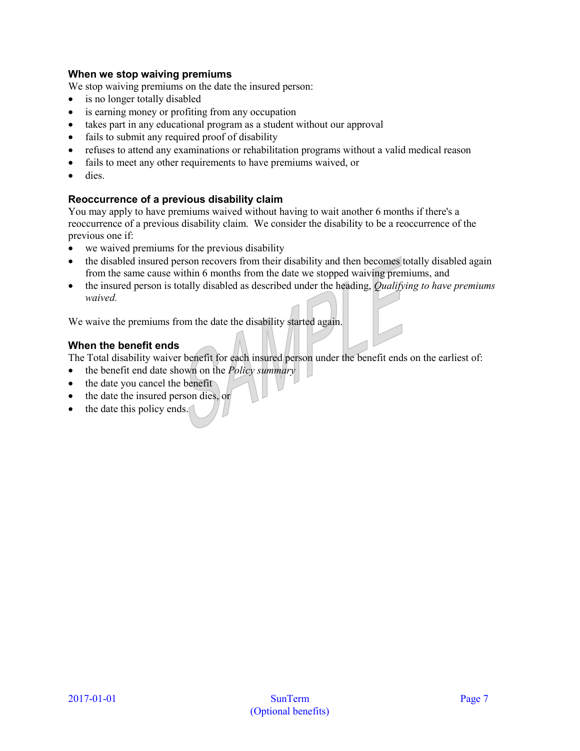# **When we stop waiving premiums**

We stop waiving premiums on the date the insured person:

- is no longer totally disabled
- is earning money or profiting from any occupation
- takes part in any educational program as a student without our approval
- fails to submit any required proof of disability
- refuses to attend any examinations or rehabilitation programs without a valid medical reason
- fails to meet any other requirements to have premiums waived, or
- dies.

# **Reoccurrence of a previous disability claim**

You may apply to have premiums waived without having to wait another 6 months if there's a reoccurrence of a previous disability claim. We consider the disability to be a reoccurrence of the previous one if:

- we waived premiums for the previous disability
- the disabled insured person recovers from their disability and then becomes totally disabled again from the same cause within 6 months from the date we stopped waiving premiums, and
- the insured person is totally disabled as described under the heading, *Qualifying to have premiums waived.*

We waive the premiums from the date the disability started again.

# **When the benefit ends**

The Total disability waiver benefit for each insured person under the benefit ends on the earliest of:

- the benefit end date shown on the *Policy summary*
- the date you cancel the benefit
- the date the insured person dies, or
- the date this policy ends.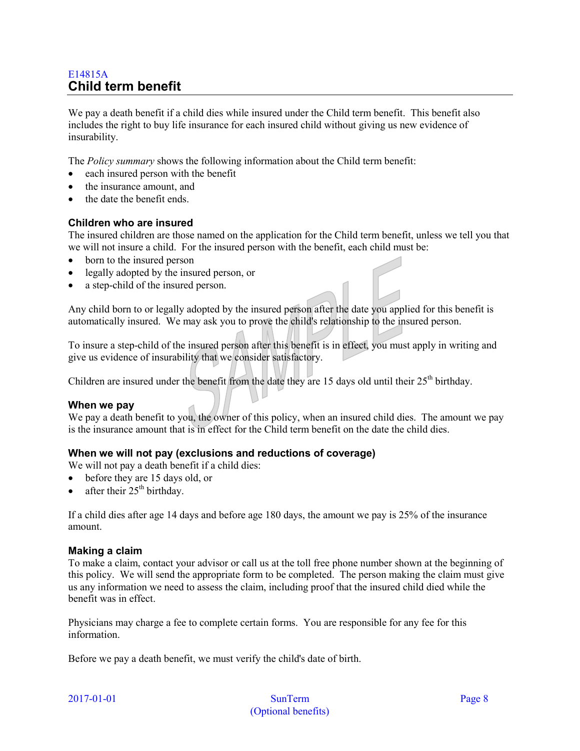# <span id="page-7-0"></span>E14815A **Child term benefit**

We pay a death benefit if a child dies while insured under the Child term benefit. This benefit also includes the right to buy life insurance for each insured child without giving us new evidence of insurability.

The *Policy summary* shows the following information about the Child term benefit:

- each insured person with the benefit
- the insurance amount, and
- the date the benefit ends.

# **Children who are insured**

The insured children are those named on the application for the Child term benefit, unless we tell you that we will not insure a child. For the insured person with the benefit, each child must be:

- born to the insured person
- legally adopted by the insured person, or
- a step-child of the insured person.

Any child born to or legally adopted by the insured person after the date you applied for this benefit is automatically insured. We may ask you to prove the child's relationship to the insured person.

To insure a step-child of the insured person after this benefit is in effect, you must apply in writing and give us evidence of insurability that we consider satisfactory.

Children are insured under the benefit from the date they are 15 days old until their 25<sup>th</sup> birthday.

#### **When we pay**

We pay a death benefit to you, the owner of this policy, when an insured child dies. The amount we pay is the insurance amount that is in effect for the Child term benefit on the date the child dies.

# **When we will not pay (exclusions and reductions of coverage)**

We will not pay a death benefit if a child dies:

- before they are 15 days old, or
- after their  $25<sup>th</sup>$  birthday.

If a child dies after age 14 days and before age 180 days, the amount we pay is 25% of the insurance amount.

#### **Making a claim**

To make a claim, contact your advisor or call us at the toll free phone number shown at the beginning of this policy. We will send the appropriate form to be completed. The person making the claim must give us any information we need to assess the claim, including proof that the insured child died while the benefit was in effect.

Physicians may charge a fee to complete certain forms. You are responsible for any fee for this information.

Before we pay a death benefit, we must verify the child's date of birth.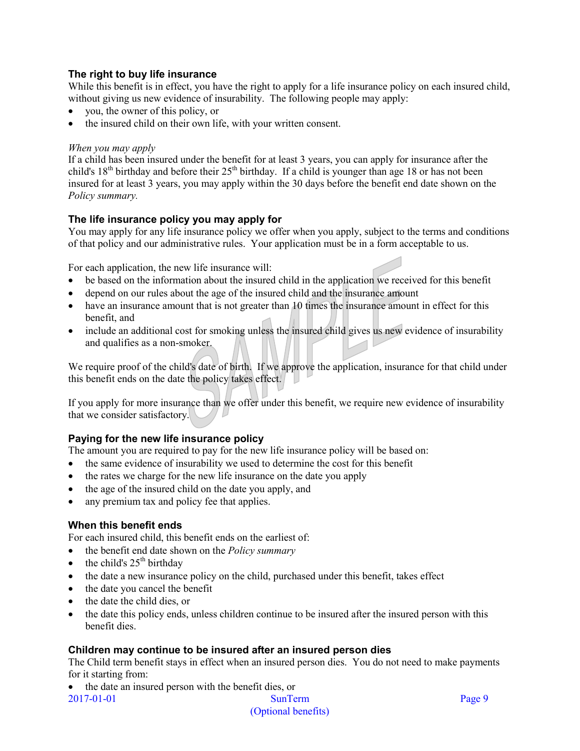# **The right to buy life insurance**

While this benefit is in effect, you have the right to apply for a life insurance policy on each insured child, without giving us new evidence of insurability. The following people may apply:

- you, the owner of this policy, or
- the insured child on their own life, with your written consent.

# *When you may apply*

If a child has been insured under the benefit for at least 3 years, you can apply for insurance after the child's  $18<sup>th</sup>$  birthday and before their  $25<sup>th</sup>$  birthday. If a child is younger than age 18 or has not been insured for at least 3 years, you may apply within the 30 days before the benefit end date shown on the *Policy summary.* 

# **The life insurance policy you may apply for**

You may apply for any life insurance policy we offer when you apply, subject to the terms and conditions of that policy and our administrative rules. Your application must be in a form acceptable to us.

For each application, the new life insurance will:

- be based on the information about the insured child in the application we received for this benefit
- depend on our rules about the age of the insured child and the insurance amount
- have an insurance amount that is not greater than 10 times the insurance amount in effect for this benefit, and
- include an additional cost for smoking unless the insured child gives us new evidence of insurability and qualifies as a non-smoker.

We require proof of the child's date of birth. If we approve the application, insurance for that child under this benefit ends on the date the policy takes effect.

If you apply for more insurance than we offer under this benefit, we require new evidence of insurability that we consider satisfactory.

# **Paying for the new life insurance policy**

The amount you are required to pay for the new life insurance policy will be based on:

- the same evidence of insurability we used to determine the cost for this benefit
- the rates we charge for the new life insurance on the date you apply
- the age of the insured child on the date you apply, and
- any premium tax and policy fee that applies.

# **When this benefit ends**

For each insured child, this benefit ends on the earliest of:

- the benefit end date shown on the *Policy summary*
- the child's  $25<sup>th</sup>$  birthday
- the date a new insurance policy on the child, purchased under this benefit, takes effect
- the date you cancel the benefit
- the date the child dies, or
- the date this policy ends, unless children continue to be insured after the insured person with this benefit dies.

# **Children may continue to be insured after an insured person dies**

The Child term benefit stays in effect when an insured person dies. You do not need to make payments for it starting from:

2017-01-01 SunTerm Page 9 • the date an insured person with the benefit dies, or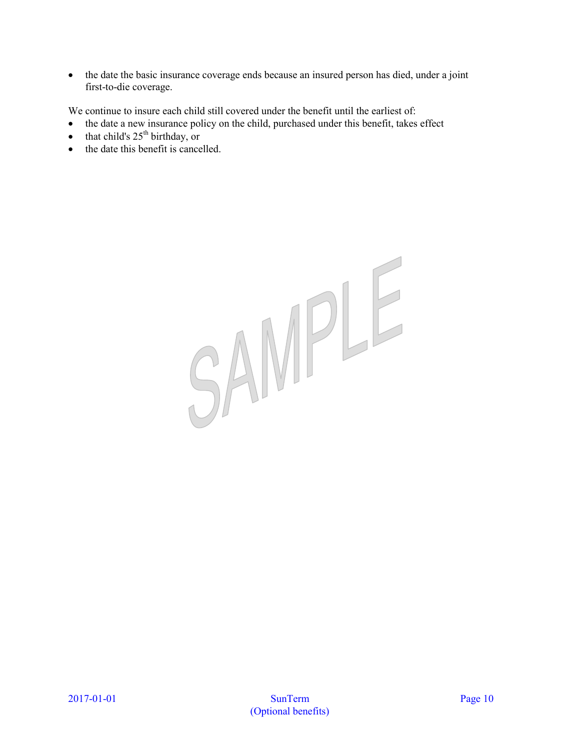• the date the basic insurance coverage ends because an insured person has died, under a joint first-to-die coverage.

We continue to insure each child still covered under the benefit until the earliest of:

- the date a new insurance policy on the child, purchased under this benefit, takes effect
- that child's  $25<sup>th</sup>$  birthday, or
- the date this benefit is cancelled.

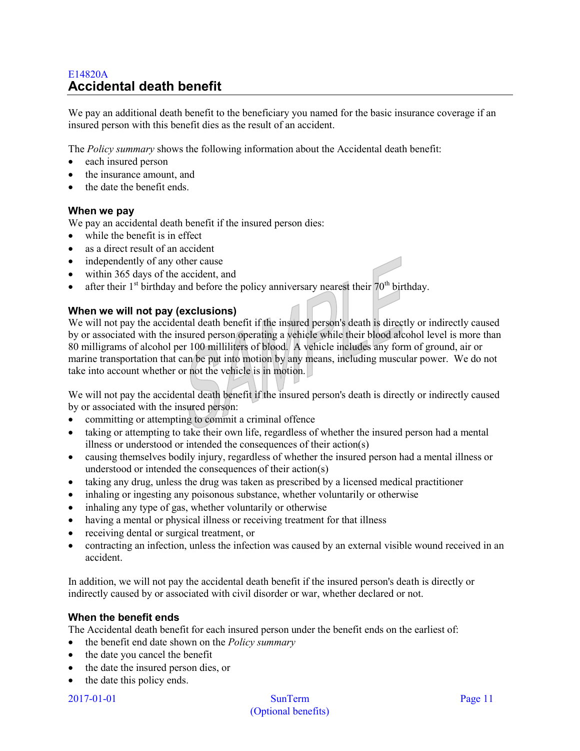# <span id="page-10-0"></span>E14820A **Accidental death benefit**

We pay an additional death benefit to the beneficiary you named for the basic insurance coverage if an insured person with this benefit dies as the result of an accident.

The *Policy summary* shows the following information about the Accidental death benefit:

- each insured person
- the insurance amount, and
- the date the benefit ends.

#### **When we pay**

We pay an accidental death benefit if the insured person dies:

- while the benefit is in effect
- as a direct result of an accident
- independently of any other cause
- within 365 days of the accident, and
- after their  $1<sup>st</sup>$  birthday and before the policy anniversary nearest their  $70<sup>th</sup>$  birthday.

#### **When we will not pay (exclusions)**

We will not pay the accidental death benefit if the insured person's death is directly or indirectly caused by or associated with the insured person operating a vehicle while their blood alcohol level is more than 80 milligrams of alcohol per 100 milliliters of blood. A vehicle includes any form of ground, air or marine transportation that can be put into motion by any means, including muscular power. We do not take into account whether or not the vehicle is in motion.

We will not pay the accidental death benefit if the insured person's death is directly or indirectly caused by or associated with the insured person:

- committing or attempting to commit a criminal offence
- taking or attempting to take their own life, regardless of whether the insured person had a mental illness or understood or intended the consequences of their action(s)
- causing themselves bodily injury, regardless of whether the insured person had a mental illness or understood or intended the consequences of their action(s)
- taking any drug, unless the drug was taken as prescribed by a licensed medical practitioner
- inhaling or ingesting any poisonous substance, whether voluntarily or otherwise
- inhaling any type of gas, whether voluntarily or otherwise
- having a mental or physical illness or receiving treatment for that illness
- receiving dental or surgical treatment, or
- contracting an infection, unless the infection was caused by an external visible wound received in an accident.

In addition, we will not pay the accidental death benefit if the insured person's death is directly or indirectly caused by or associated with civil disorder or war, whether declared or not.

#### **When the benefit ends**

The Accidental death benefit for each insured person under the benefit ends on the earliest of:

- the benefit end date shown on the *Policy summary*
- the date you cancel the benefit
- the date the insured person dies, or
- the date this policy ends.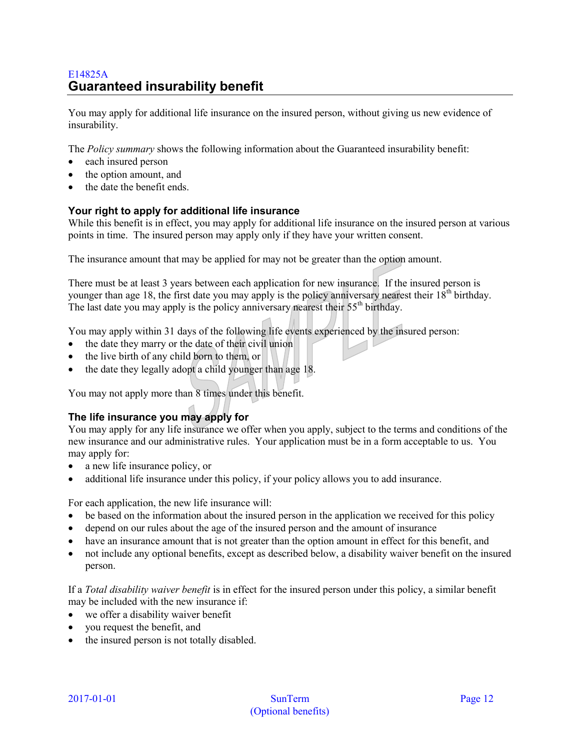# <span id="page-11-0"></span>E14825A **Guaranteed insurability benefit**

You may apply for additional life insurance on the insured person, without giving us new evidence of insurability.

The *Policy summary* shows the following information about the Guaranteed insurability benefit:

- each insured person
- the option amount, and
- the date the benefit ends.

# **Your right to apply for additional life insurance**

While this benefit is in effect, you may apply for additional life insurance on the insured person at various points in time. The insured person may apply only if they have your written consent.

The insurance amount that may be applied for may not be greater than the option amount.

There must be at least 3 years between each application for new insurance. If the insured person is younger than age 18, the first date you may apply is the policy anniversary nearest their  $18<sup>th</sup>$  birthday. The last date you may apply is the policy anniversary nearest their  $55<sup>th</sup>$  birthday.

You may apply within 31 days of the following life events experienced by the insured person:

- the date they marry or the date of their civil union
- the live birth of any child born to them, or
- the date they legally adopt a child younger than age 18.

You may not apply more than 8 times under this benefit.

# **The life insurance you may apply for**

You may apply for any life insurance we offer when you apply, subject to the terms and conditions of the new insurance and our administrative rules. Your application must be in a form acceptable to us. You may apply for:

- a new life insurance policy, or
- additional life insurance under this policy, if your policy allows you to add insurance.

For each application, the new life insurance will:

- be based on the information about the insured person in the application we received for this policy
- depend on our rules about the age of the insured person and the amount of insurance
- have an insurance amount that is not greater than the option amount in effect for this benefit, and
- not include any optional benefits, except as described below, a disability waiver benefit on the insured person.

If a *Total disability waiver benefit* is in effect for the insured person under this policy, a similar benefit may be included with the new insurance if:

- we offer a disability waiver benefit
- you request the benefit, and
- the insured person is not totally disabled.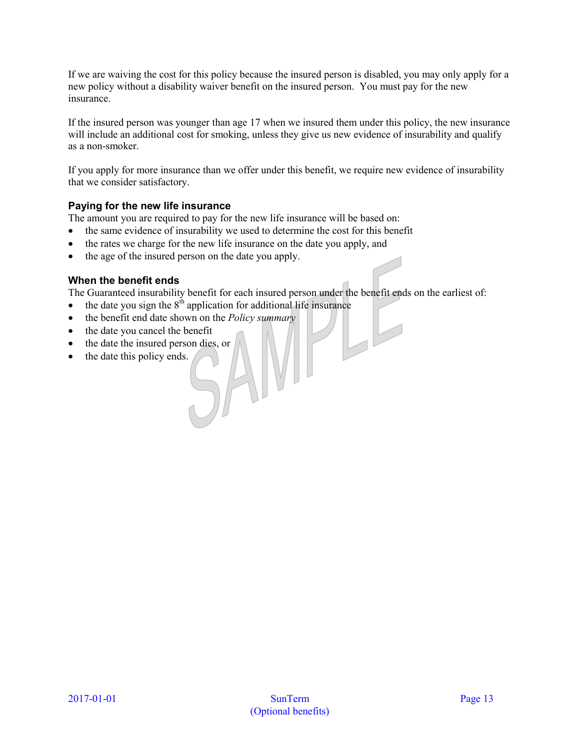If we are waiving the cost for this policy because the insured person is disabled, you may only apply for a new policy without a disability waiver benefit on the insured person. You must pay for the new insurance.

If the insured person was younger than age 17 when we insured them under this policy, the new insurance will include an additional cost for smoking, unless they give us new evidence of insurability and qualify as a non-smoker.

If you apply for more insurance than we offer under this benefit, we require new evidence of insurability that we consider satisfactory.

# **Paying for the new life insurance**

The amount you are required to pay for the new life insurance will be based on:

- the same evidence of insurability we used to determine the cost for this benefit
- the rates we charge for the new life insurance on the date you apply, and
- the age of the insured person on the date you apply.

#### **When the benefit ends**

The Guaranteed insurability benefit for each insured person under the benefit ends on the earliest of:

 $\overline{L}$ 

- the date you sign the  $8<sup>th</sup>$  application for additional life insurance
- the benefit end date shown on the *Policy summary*
- the date you cancel the benefit
- the date the insured person dies, or
- the date this policy ends.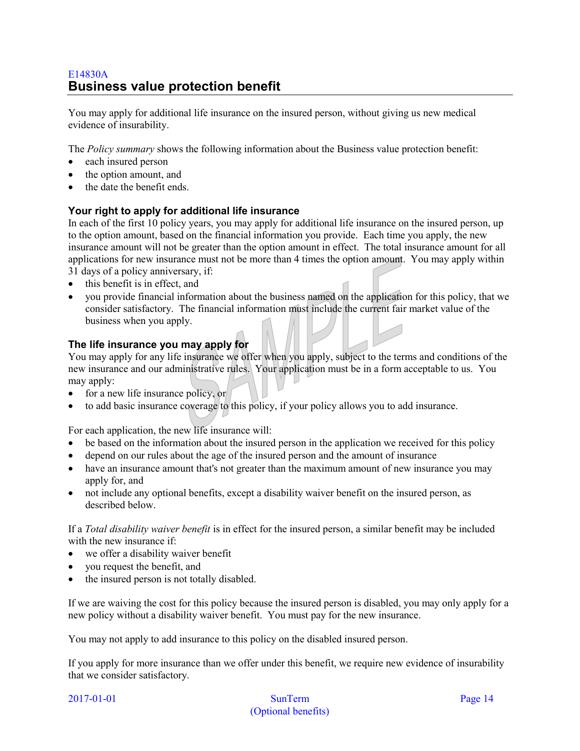# <span id="page-13-0"></span>E14830A **Business value protection benefit**

You may apply for additional life insurance on the insured person, without giving us new medical evidence of insurability.

The *Policy summary* shows the following information about the Business value protection benefit:

- each insured person
- the option amount, and
- the date the benefit ends.

# **Your right to apply for additional life insurance**

In each of the first 10 policy years, you may apply for additional life insurance on the insured person, up to the option amount, based on the financial information you provide. Each time you apply, the new insurance amount will not be greater than the option amount in effect. The total insurance amount for all applications for new insurance must not be more than 4 times the option amount. You may apply within 31 days of a policy anniversary, if:

- this benefit is in effect, and
- you provide financial information about the business named on the application for this policy, that we consider satisfactory. The financial information must include the current fair market value of the business when you apply.

# **The life insurance you may apply for**

You may apply for any life insurance we offer when you apply, subject to the terms and conditions of the new insurance and our administrative rules. Your application must be in a form acceptable to us. You may apply:

- for a new life insurance policy, or
- to add basic insurance coverage to this policy, if your policy allows you to add insurance.

For each application, the new life insurance will:

- be based on the information about the insured person in the application we received for this policy
- depend on our rules about the age of the insured person and the amount of insurance
- have an insurance amount that's not greater than the maximum amount of new insurance you may apply for, and
- not include any optional benefits, except a disability waiver benefit on the insured person, as described below.

If a *Total disability waiver benefit* is in effect for the insured person, a similar benefit may be included with the new insurance if:

- we offer a disability waiver benefit
- you request the benefit, and
- the insured person is not totally disabled.

If we are waiving the cost for this policy because the insured person is disabled, you may only apply for a new policy without a disability waiver benefit. You must pay for the new insurance.

You may not apply to add insurance to this policy on the disabled insured person.

If you apply for more insurance than we offer under this benefit, we require new evidence of insurability that we consider satisfactory.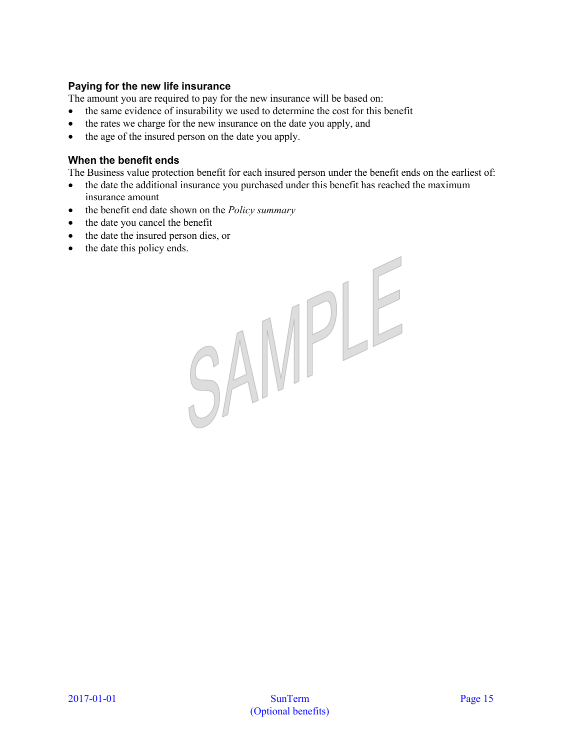# **Paying for the new life insurance**

The amount you are required to pay for the new insurance will be based on:

- the same evidence of insurability we used to determine the cost for this benefit
- the rates we charge for the new insurance on the date you apply, and
- the age of the insured person on the date you apply.

#### **When the benefit ends**

The Business value protection benefit for each insured person under the benefit ends on the earliest of:

- the date the additional insurance you purchased under this benefit has reached the maximum insurance amount
- the benefit end date shown on the *Policy summary*
- the date you cancel the benefit
- the date the insured person dies, or
- the date this policy ends.

SAMPLE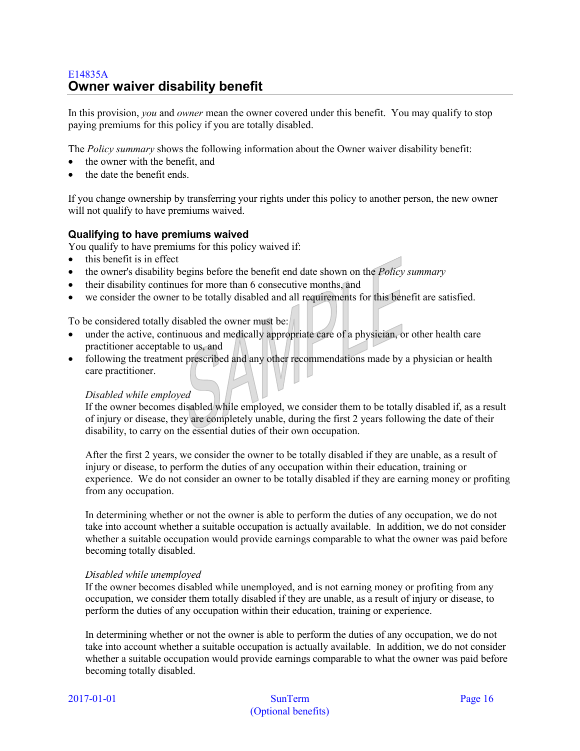# <span id="page-15-0"></span>E14835A **Owner waiver disability benefit**

In this provision, *you* and *owner* mean the owner covered under this benefit. You may qualify to stop paying premiums for this policy if you are totally disabled.

The *Policy summary* shows the following information about the Owner waiver disability benefit:

- the owner with the benefit, and
- the date the benefit ends.

If you change ownership by transferring your rights under this policy to another person, the new owner will not qualify to have premiums waived.

# **Qualifying to have premiums waived**

You qualify to have premiums for this policy waived if:

- this benefit is in effect
- the owner's disability begins before the benefit end date shown on the *Policy summary*
- their disability continues for more than 6 consecutive months, and
- we consider the owner to be totally disabled and all requirements for this benefit are satisfied.

To be considered totally disabled the owner must be:

- under the active, continuous and medically appropriate care of a physician, or other health care practitioner acceptable to us, and
- following the treatment prescribed and any other recommendations made by a physician or health care practitioner.

#### *Disabled while employed*

If the owner becomes disabled while employed, we consider them to be totally disabled if, as a result of injury or disease, they are completely unable, during the first 2 years following the date of their disability, to carry on the essential duties of their own occupation.

After the first 2 years, we consider the owner to be totally disabled if they are unable, as a result of injury or disease, to perform the duties of any occupation within their education, training or experience. We do not consider an owner to be totally disabled if they are earning money or profiting from any occupation.

In determining whether or not the owner is able to perform the duties of any occupation, we do not take into account whether a suitable occupation is actually available. In addition, we do not consider whether a suitable occupation would provide earnings comparable to what the owner was paid before becoming totally disabled.

#### *Disabled while unemployed*

If the owner becomes disabled while unemployed, and is not earning money or profiting from any occupation, we consider them totally disabled if they are unable, as a result of injury or disease, to perform the duties of any occupation within their education, training or experience.

In determining whether or not the owner is able to perform the duties of any occupation, we do not take into account whether a suitable occupation is actually available. In addition, we do not consider whether a suitable occupation would provide earnings comparable to what the owner was paid before becoming totally disabled.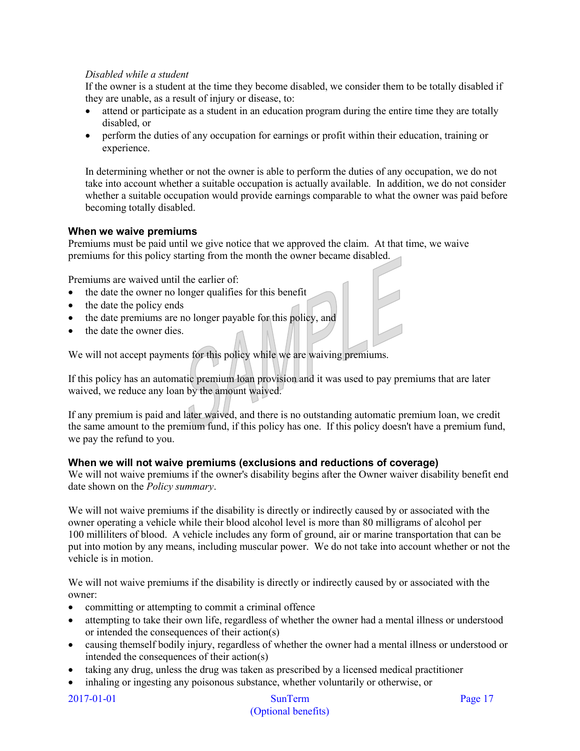# *Disabled while a student*

If the owner is a student at the time they become disabled, we consider them to be totally disabled if they are unable, as a result of injury or disease, to:

- attend or participate as a student in an education program during the entire time they are totally disabled, or
- perform the duties of any occupation for earnings or profit within their education, training or experience.

In determining whether or not the owner is able to perform the duties of any occupation, we do not take into account whether a suitable occupation is actually available. In addition, we do not consider whether a suitable occupation would provide earnings comparable to what the owner was paid before becoming totally disabled.

# **When we waive premiums**

Premiums must be paid until we give notice that we approved the claim. At that time, we waive premiums for this policy starting from the month the owner became disabled.

Premiums are waived until the earlier of:

- the date the owner no longer qualifies for this benefit
- the date the policy ends
- the date premiums are no longer payable for this policy, and
- the date the owner dies.

We will not accept payments for this policy while we are waiving premiums.

If this policy has an automatic premium loan provision and it was used to pay premiums that are later waived, we reduce any loan by the amount waived.

If any premium is paid and later waived, and there is no outstanding automatic premium loan, we credit the same amount to the premium fund, if this policy has one. If this policy doesn't have a premium fund, we pay the refund to you.

#### **When we will not waive premiums (exclusions and reductions of coverage)**

We will not waive premiums if the owner's disability begins after the Owner waiver disability benefit end date shown on the *Policy summary*.

We will not waive premiums if the disability is directly or indirectly caused by or associated with the owner operating a vehicle while their blood alcohol level is more than 80 milligrams of alcohol per 100 milliliters of blood. A vehicle includes any form of ground, air or marine transportation that can be put into motion by any means, including muscular power. We do not take into account whether or not the vehicle is in motion.

We will not waive premiums if the disability is directly or indirectly caused by or associated with the owner:

- committing or attempting to commit a criminal offence
- attempting to take their own life, regardless of whether the owner had a mental illness or understood or intended the consequences of their action(s)
- causing themself bodily injury, regardless of whether the owner had a mental illness or understood or intended the consequences of their action(s)
- taking any drug, unless the drug was taken as prescribed by a licensed medical practitioner
- inhaling or ingesting any poisonous substance, whether voluntarily or otherwise, or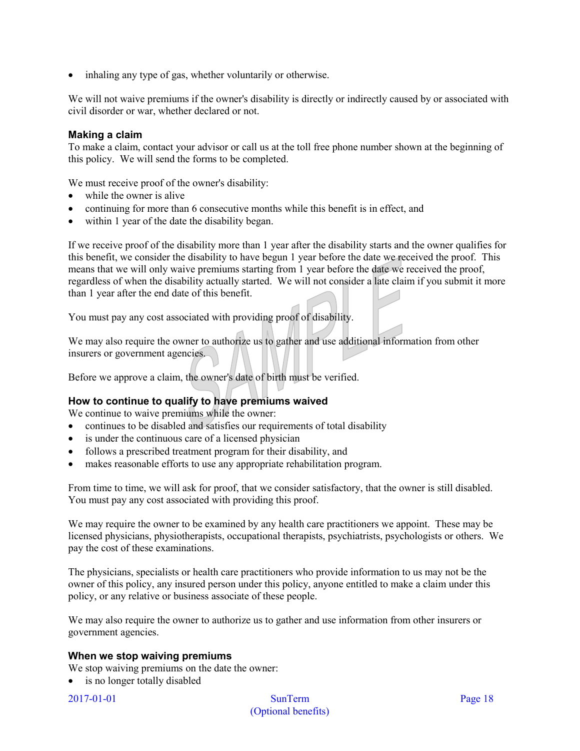• inhaling any type of gas, whether voluntarily or otherwise.

We will not waive premiums if the owner's disability is directly or indirectly caused by or associated with civil disorder or war, whether declared or not.

## **Making a claim**

To make a claim, contact your advisor or call us at the toll free phone number shown at the beginning of this policy. We will send the forms to be completed.

We must receive proof of the owner's disability:

- while the owner is alive
- continuing for more than 6 consecutive months while this benefit is in effect, and
- within 1 year of the date the disability began.

If we receive proof of the disability more than 1 year after the disability starts and the owner qualifies for this benefit, we consider the disability to have begun 1 year before the date we received the proof. This means that we will only waive premiums starting from 1 year before the date we received the proof, regardless of when the disability actually started. We will not consider a late claim if you submit it more than 1 year after the end date of this benefit.

You must pay any cost associated with providing proof of disability.

We may also require the owner to authorize us to gather and use additional information from other insurers or government agencies.

Before we approve a claim, the owner's date of birth must be verified.

# **How to continue to qualify to have premiums waived**

We continue to waive premiums while the owner:

- continues to be disabled and satisfies our requirements of total disability
- is under the continuous care of a licensed physician
- follows a prescribed treatment program for their disability, and
- makes reasonable efforts to use any appropriate rehabilitation program.

From time to time, we will ask for proof, that we consider satisfactory, that the owner is still disabled. You must pay any cost associated with providing this proof.

We may require the owner to be examined by any health care practitioners we appoint. These may be licensed physicians, physiotherapists, occupational therapists, psychiatrists, psychologists or others. We pay the cost of these examinations.

The physicians, specialists or health care practitioners who provide information to us may not be the owner of this policy, any insured person under this policy, anyone entitled to make a claim under this policy, or any relative or business associate of these people.

We may also require the owner to authorize us to gather and use information from other insurers or government agencies.

#### **When we stop waiving premiums**

We stop waiving premiums on the date the owner:

• is no longer totally disabled